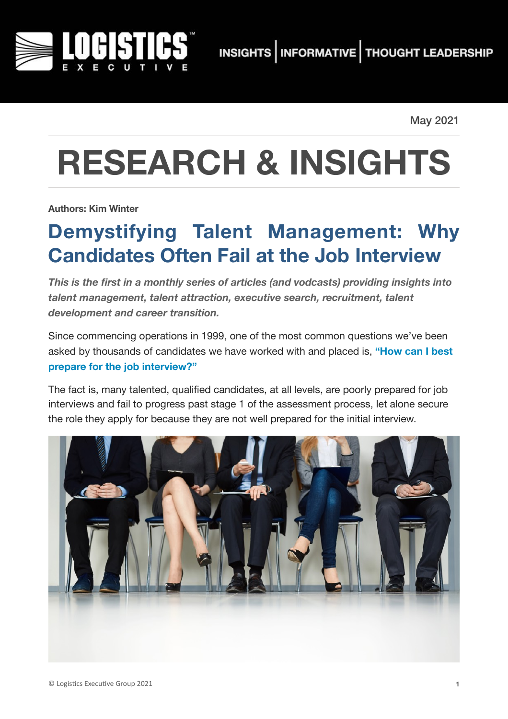

May 2021

# **RESEARCH & INSIGHTS**

**Authors: Kim Winter**

## **Demystifying Talent Management: Why Candidates Often Fail at the Job Interview**

*This is the first in a monthly series of articles (and vodcasts) providing insights into talent management, talent attraction, executive search, recruitment, talent development and career transition.* 

Since commencing operations in 1999, one of the most common questions we've been asked by thousands of candidates we have worked with and placed is, **"How can I best prepare for the job interview?"**

The fact is, many talented, qualified candidates, at all levels, are poorly prepared for job interviews and fail to progress past stage 1 of the assessment process, let alone secure the role they apply for because they are not well prepared for the initial interview.

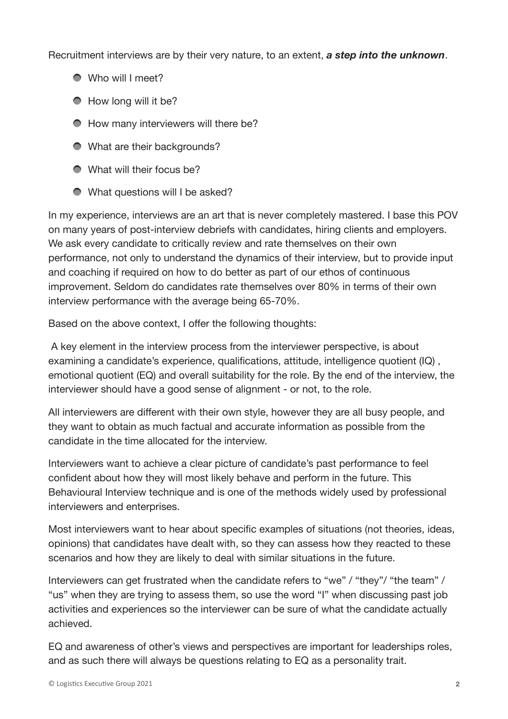Recruitment interviews are by their very nature, to an extent, *a step into the unknown*.

- Who will I meet?
- How long will it be?
- How many interviewers will there be?
- What are their backgrounds?
- What will their focus be?
- What questions will I be asked?

In my experience, interviews are an art that is never completely mastered. I base this POV on many years of post-interview debriefs with candidates, hiring clients and employers. We ask every candidate to critically review and rate themselves on their own performance, not only to understand the dynamics of their interview, but to provide input and coaching if required on how to do better as part of our ethos of continuous improvement. Seldom do candidates rate themselves over 80% in terms of their own interview performance with the average being 65-70%.

Based on the above context, I offer the following thoughts:

 A key element in the interview process from the interviewer perspective, is about examining a candidate's experience, qualifications, attitude, intelligence quotient (IQ) , emotional quotient (EQ) and overall suitability for the role. By the end of the interview, the interviewer should have a good sense of alignment - or not, to the role.

All interviewers are different with their own style, however they are all busy people, and they want to obtain as much factual and accurate information as possible from the candidate in the time allocated for the interview.

Interviewers want to achieve a clear picture of candidate's past performance to feel confident about how they will most likely behave and perform in the future. This Behavioural Interview technique and is one of the methods widely used by professional interviewers and enterprises.

Most interviewers want to hear about specific examples of situations (not theories, ideas, opinions) that candidates have dealt with, so they can assess how they reacted to these scenarios and how they are likely to deal with similar situations in the future.

Interviewers can get frustrated when the candidate refers to "we" / "they"/ "the team" / "us" when they are trying to assess them, so use the word "I" when discussing past job activities and experiences so the interviewer can be sure of what the candidate actually achieved.

EQ and awareness of other's views and perspectives are important for leaderships roles, and as such there will always be questions relating to EQ as a personality trait.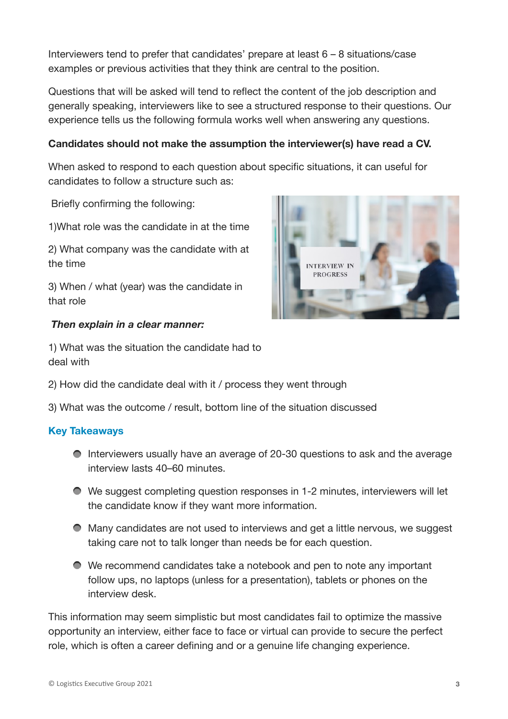Interviewers tend to prefer that candidates' prepare at least 6 – 8 situations/case examples or previous activities that they think are central to the position.

Questions that will be asked will tend to reflect the content of the job description and generally speaking, interviewers like to see a structured response to their questions. Our experience tells us the following formula works well when answering any questions.

### **Candidates should not make the assumption the interviewer(s) have read a CV.**

When asked to respond to each question about specific situations, it can useful for candidates to follow a structure such as:

Briefly confirming the following:

1)What role was the candidate in at the time

2) What company was the candidate with at the time

3) When / what (year) was the candidate in that role

#### *Then explain in a clear manner:*

1) What was the situation the candidate had to deal with

- 2) How did the candidate deal with it / process they went through
- 3) What was the outcome / result, bottom line of the situation discussed

#### **Key Takeaways**

- Interviewers usually have an average of 20-30 questions to ask and the average interview lasts 40–60 minutes.
- We suggest completing question responses in 1-2 minutes, interviewers will let the candidate know if they want more information.
- Many candidates are not used to interviews and get a little nervous, we suggest taking care not to talk longer than needs be for each question.
- We recommend candidates take a notebook and pen to note any important follow ups, no laptops (unless for a presentation), tablets or phones on the interview desk.

This information may seem simplistic but most candidates fail to optimize the massive opportunity an interview, either face to face or virtual can provide to secure the perfect role, which is often a career defining and or a genuine life changing experience.